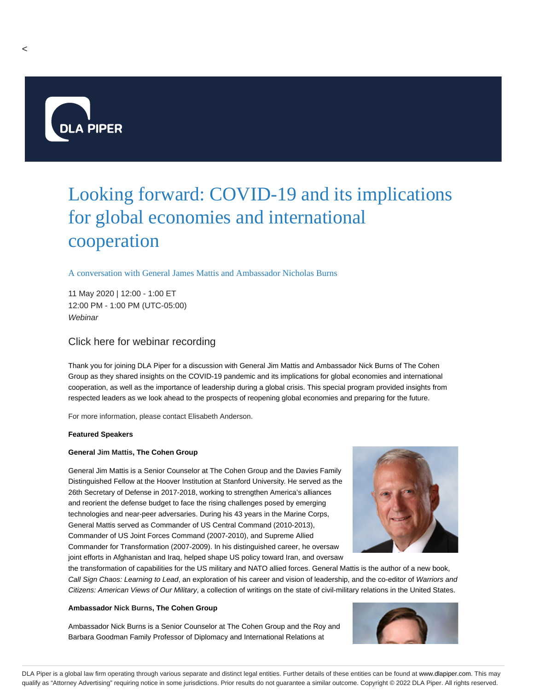

# Looking forward: COVID-19 and its implications for global economies and international cooperation

# A conversation with General James Mattis and Ambassador Nicholas Burns

11 May 2020 | 12:00 - 1:00 ET 12:00 PM - 1:00 PM (UTC-05:00) **Webinar** 

# Click here for webinar recording

Thank you for joining DLA Piper for a discussion with General Jim Mattis and Ambassador Nick Burns of The Cohen Group as they shared insights on the COVID-19 pandemic and its implications for global economies and international cooperation, as well as the importance of leadership during a global crisis. This special program provided insights from respected leaders as we look ahead to the prospects of reopening global economies and preparing for the future.

For more information, please contact Elisabeth Anderson.

#### **Featured Speakers**

#### **General Jim Mattis, The Cohen Group**

General Jim Mattis is a Senior Counselor at The Cohen Group and the Davies Family Distinguished Fellow at the Hoover Institution at Stanford University. He served as the 26th Secretary of Defense in 2017-2018, working to strengthen America's alliances and reorient the defense budget to face the rising challenges posed by emerging technologies and near-peer adversaries. During his 43 years in the Marine Corps, General Mattis served as Commander of US Central Command (2010-2013), Commander of US Joint Forces Command (2007-2010), and Supreme Allied Commander for Transformation (2007-2009). In his distinguished career, he oversaw joint efforts in Afghanistan and Iraq, helped shape US policy toward Iran, and oversaw



the transformation of capabilities for the US military and NATO allied forces. General Mattis is the author of a new book, Call Sign Chaos: Learning to Lead, an exploration of his career and vision of leadership, and the co-editor of Warriors and Citizens: American Views of Our Military, a collection of writings on the state of civil-military relations in the United States.

#### **Ambassador Nick Burns, The Cohen Group**

Ambassador Nick Burns is a Senior Counselor at The Cohen Group and the Roy and Barbara Goodman Family Professor of Diplomacy and International Relations at